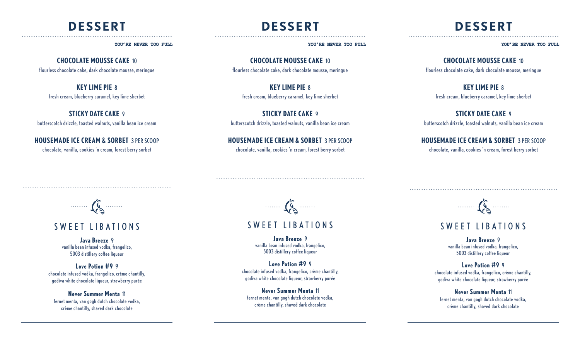### **DESSERT** ----------------------------------------------------------------

YOU'RE NEVER TOO FULL

**CHOCOLATE MOUSSE CAKE** 10 flourless chocolate cake, dark chocolate mousse, meringue

**KEY LIME PIE** 8 fresh cream, blueberry caramel, key lime sherbet

**STICKY DATE CAKE** 9 butterscotch drizzle, toasted walnuts, vanilla bean ice cream

## **HOUSEMADE ICE CREAM & SORBET** 3 PER SCOOP

chocolate, vanilla, cookies 'n cream, forest berry sorbet

 $-$ 

### **DESSERT** ----------------------------------------------------------------

YOU'RE NEVER TOO FULL

**CHOCOLATE MOUSSE CAKE** 10 flourless chocolate cake, dark chocolate mousse, meringue

**KEY LIME PIE** 8 fresh cream, blueberry caramel, key lime sherbet

**STICKY DATE CAKE** 9 butterscotch drizzle, toasted walnuts, vanilla bean ice cream

**HOUSEMADE ICE CREAM & SORBET** 3 PER SCOOP chocolate, vanilla, cookies 'n cream, forest berry sorbet

## **DESSERT** ----------------------------------------------------------------

YOU'RE NEVER TOO FULL

**CHOCOLATE MOUSSE CAKE** 10 flourless chocolate cake, dark chocolate mousse, meringue

**KEY LIME PIE** 8 fresh cream, blueberry caramel, key lime sherbet

**STICKY DATE CAKE** 9 butterscotch drizzle, toasted walnuts, vanilla bean ice cream

# **HOUSEMADE ICE CREAM & SORBET** 3 PER SCOOP

chocolate, vanilla, cookies 'n cream, forest berry sorbet



# SWEET LIBATIONS

**Java Breeze** 9 vanilla bean infused vodka, frangelico, 5003 distillery coffee liqueur

### **Love Potion #9** 9

chocolate infused vodka, frangelico, crème chantilly, godiva white chocolate liqueur, strawberry purée

#### **Never Summer Menta** 11 fernet menta, van gogh dutch chocolate vodka,

crème chantilly, shaved dark chocolate



---------------------------------------------------------------

# SWEET LIBATIONS

**Java Breeze** 9 vanilla bean infused vodka, frangelico, 5003 distillery coffee liqueur

**Love Potion #9** 9 chocolate infused vodka, frangelico, crème chantilly, godiva white chocolate liqueur, strawberry purée

**Never Summer Menta** 11 fernet menta, van gogh dutch chocolate vodka, crème chantilly, shaved dark chocolate

# $\sqrt{2}$

---------------------------------------------------------------

# SWEET LIBATIONS

**Java Breeze** 9 vanilla bean infused vodka, frangelico, 5003 distillery coffee liqueur

### **Love Potion #9** 9

chocolate infused vodka, frangelico, crème chantilly, godiva white chocolate liqueur, strawberry purée

**Never Summer Menta** 11 fernet menta, van gogh dutch chocolate vodka, crème chantilly, shaved dark chocolate